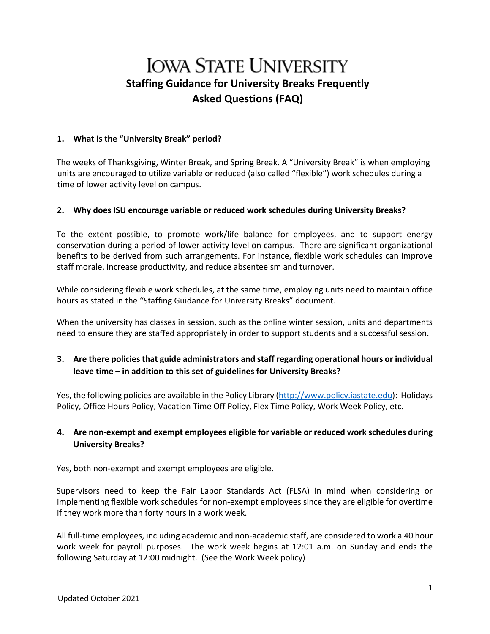# **IOWA STATE UNIVERSITY Staffing Guidance for University Breaks Frequently Asked Questions (FAQ)**

#### **1. What is the "University Break" period?**

The weeks of Thanksgiving, Winter Break, and Spring Break. A "University Break" is when employing units are encouraged to utilize variable or reduced (also called "flexible") work schedules during a time of lower activity level on campus.

#### **2. Why does ISU encourage variable or reduced work schedules during University Breaks?**

To the extent possible, to promote work/life balance for employees, and to support energy conservation during a period of lower activity level on campus. There are significant organizational benefits to be derived from such arrangements. For instance, flexible work schedules can improve staff morale, increase productivity, and reduce absenteeism and turnover.

While considering flexible work schedules, at the same time, employing units need to maintain office hours as stated in the "Staffing Guidance for University Breaks" document.

When the university has classes in session, such as the online winter session, units and departments need to ensure they are staffed appropriately in order to support students and a successful session.

## **3. Are there policies that guide administrators and staff regarding operational hours or individual leave time – in addition to this set of guidelines for University Breaks?**

Yes, the following policies are available in the Policy Libra[ry \(http://www.policy.iastate.edu\):](http://www.policy.iastate.edu/) Holidays Policy, Office Hours Policy, Vacation Time Off Policy, Flex Time Policy, Work Week Policy, etc.

## **4. Are non-exempt and exempt employees eligible for variable or reduced work schedules during University Breaks?**

Yes, both non-exempt and exempt employees are eligible.

Supervisors need to keep the Fair Labor Standards Act (FLSA) in mind when considering or implementing flexible work schedules for non-exempt employees since they are eligible for overtime if they work more than forty hours in a work week.

All full-time employees, including academic and non-academic staff, are considered to work a 40 hour work week for payroll purposes. The work week begins at 12:01 a.m. on Sunday and ends the following Saturday at 12:00 midnight. (See the Work Week policy)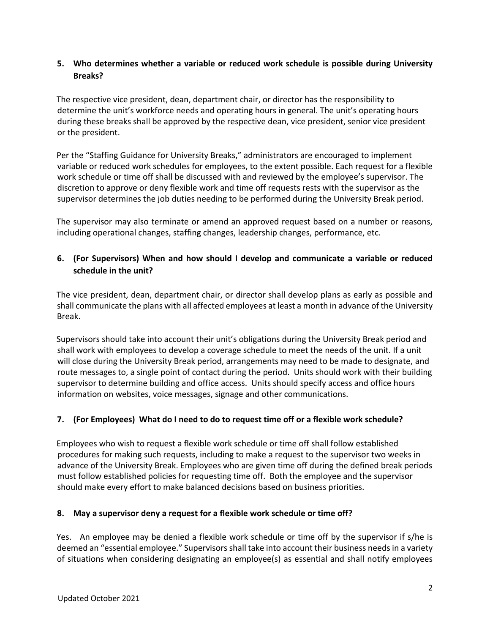## **5. Who determines whether a variable or reduced work schedule is possible during University Breaks?**

The respective vice president, dean, department chair, or director has the responsibility to determine the unit's workforce needs and operating hours in general. The unit's operating hours during these breaks shall be approved by the respective dean, vice president, senior vice president or the president.

Per the "Staffing Guidance for University Breaks," administrators are encouraged to implement variable or reduced work schedules for employees, to the extent possible. Each request for a flexible work schedule or time off shall be discussed with and reviewed by the employee's supervisor. The discretion to approve or deny flexible work and time off requests rests with the supervisor as the supervisor determines the job duties needing to be performed during the University Break period.

The supervisor may also terminate or amend an approved request based on a number or reasons, including operational changes, staffing changes, leadership changes, performance, etc.

## **6. (For Supervisors) When and how should I develop and communicate a variable or reduced schedule in the unit?**

The vice president, dean, department chair, or director shall develop plans as early as possible and shall communicate the plans with all affected employees at least a month in advance of the University Break.

Supervisors should take into account their unit's obligations during the University Break period and shall work with employees to develop a coverage schedule to meet the needs of the unit. If a unit will close during the University Break period, arrangements may need to be made to designate, and route messages to, a single point of contact during the period. Units should work with their building supervisor to determine building and office access. Units should specify access and office hours information on websites, voice messages, signage and other communications.

#### **7. (For Employees) What do I need to do to request time off or a flexible work schedule?**

Employees who wish to request a flexible work schedule or time off shall follow established procedures for making such requests, including to make a request to the supervisor two weeks in advance of the University Break. Employees who are given time off during the defined break periods must follow established policies for requesting time off. Both the employee and the supervisor should make every effort to make balanced decisions based on business priorities.

#### **8. May a supervisor deny a request for a flexible work schedule or time off?**

Yes. An employee may be denied a flexible work schedule or time off by the supervisor if s/he is deemed an "essential employee." Supervisors shall take into account their business needs in a variety of situations when considering designating an employee(s) as essential and shall notify employees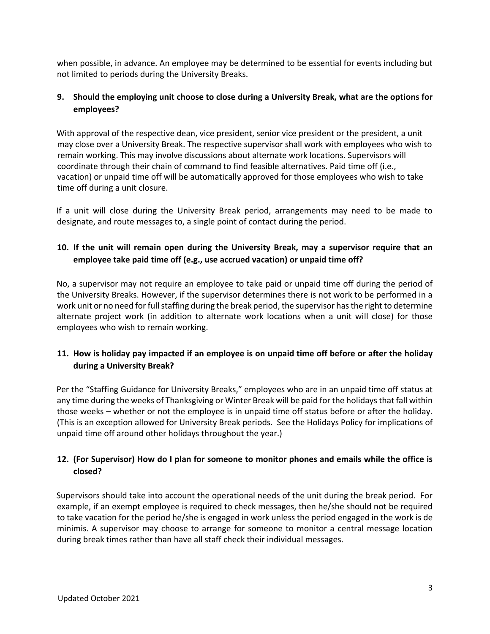when possible, in advance. An employee may be determined to be essential for events including but not limited to periods during the University Breaks.

## **9. Should the employing unit choose to close during a University Break, what are the options for employees?**

With approval of the respective dean, vice president, senior vice president or the president, a unit may close over a University Break. The respective supervisor shall work with employees who wish to remain working. This may involve discussions about alternate work locations. Supervisors will coordinate through their chain of command to find feasible alternatives. Paid time off (i.e., vacation) or unpaid time off will be automatically approved for those employees who wish to take time off during a unit closure.

If a unit will close during the University Break period, arrangements may need to be made to designate, and route messages to, a single point of contact during the period.

# **10. If the unit will remain open during the University Break, may a supervisor require that an employee take paid time off (e.g., use accrued vacation) or unpaid time off?**

No, a supervisor may not require an employee to take paid or unpaid time off during the period of the University Breaks. However, if the supervisor determines there is not work to be performed in a work unit or no need for full staffing during the break period, the supervisor has the right to determine alternate project work (in addition to alternate work locations when a unit will close) for those employees who wish to remain working.

## **11. How is holiday pay impacted if an employee is on unpaid time off before or after the holiday during a University Break?**

Per the "Staffing Guidance for University Breaks," employees who are in an unpaid time off status at any time during the weeks of Thanksgiving or Winter Break will be paid for the holidays that fall within those weeks – whether or not the employee is in unpaid time off status before or after the holiday. (This is an exception allowed for University Break periods. See the Holidays Policy for implications of unpaid time off around other holidays throughout the year.)

## **12. (For Supervisor) How do I plan for someone to monitor phones and emails while the office is closed?**

Supervisors should take into account the operational needs of the unit during the break period. For example, if an exempt employee is required to check messages, then he/she should not be required to take vacation for the period he/she is engaged in work unless the period engaged in the work is de minimis. A supervisor may choose to arrange for someone to monitor a central message location during break times rather than have all staff check their individual messages.